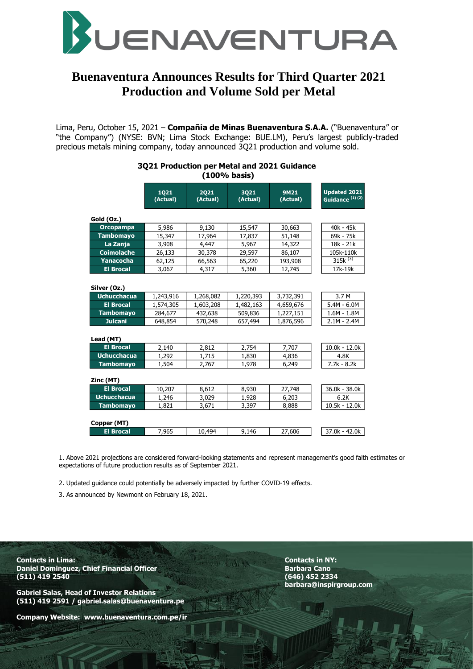

# **Buenaventura Announces Results for Third Quarter 2021 Production and Volume Sold per Metal**

Lima, Peru, October 15, 2021 – **Compañia de Minas Buenaventura S.A.A.** ("Buenaventura" or "the Company") (NYSE: BVN; Lima Stock Exchange: BUE.LM), Peru's largest publicly-traded precious metals mining company, today announced 3Q21 production and volume sold.

#### **3Q21 Production per Metal and 2021 Guidance (100% basis)**

|                    | 1021<br>(Actual) | 2021<br>(Actual) | 3021<br>(Actual) | <b>9M21</b><br>(Actual) | <b>Updated 2021</b><br>Guidance <sup>(1)(2)</sup> |  |  |
|--------------------|------------------|------------------|------------------|-------------------------|---------------------------------------------------|--|--|
| Gold (Oz.)         |                  |                  |                  |                         |                                                   |  |  |
| <b>Orcopampa</b>   | 5,986            | 9,130            | 15,547           | 30,663                  | $40k - 45k$                                       |  |  |
| <b>Tambomayo</b>   | 15,347           | 17,964           | 17,837           | 51,148                  | 69k - 75k                                         |  |  |
| La Zanja           | 3,908            | 4,447            | 5,967            | 14,322                  | 18k - 21k                                         |  |  |
| <b>Coimolache</b>  | 26,133           | 30,378           | 29,597           | 86,107                  | 105k-110k                                         |  |  |
| Yanacocha          | 62,125           | 66,563           | 65,220           | 193,908                 | $315k^{(3)}$                                      |  |  |
| <b>El Brocal</b>   | 3,067            | 4,317            | 5,360            | 12,745                  | 17k-19k                                           |  |  |
| Silver (Oz.)       |                  |                  |                  |                         |                                                   |  |  |
| <b>Uchucchacua</b> | 1,243,916        | 1,268,082        | 1,220,393        | 3,732,391               | 3.7 M                                             |  |  |
| <b>El Brocal</b>   | 1,574,305        | 1,603,208        | 1,482,163        | 4,659,676               | $5.4M - 6.0M$                                     |  |  |
| <b>Tambomayo</b>   | 284,677          | 432,638          | 509,836          | 1,227,151               | $1.6M - 1.8M$                                     |  |  |
| <b>Julcani</b>     | 648,854          | 570,248          | 657,494          | 1,876,596               | $2.1M - 2.4M$                                     |  |  |
| Lead (MT)          |                  |                  |                  |                         |                                                   |  |  |
| <b>El Brocal</b>   | 2,140            | 2,812            | 2,754            | 7,707                   | $10.0k - 12.0k$                                   |  |  |
| <b>Uchucchacua</b> | 1,292            | 1,715            | 1,830            | 4,836                   | 4.8K                                              |  |  |
| <b>Tambomayo</b>   | 1,504            | 2,767            | 1,978            | 6,249                   | $7.7k - 8.2k$                                     |  |  |
| Zinc (MT)          |                  |                  |                  |                         |                                                   |  |  |
| <b>El Brocal</b>   | 10,207           | 8,612            | 8,930            | 27,748                  | $36.0k - 38.0k$                                   |  |  |
| <b>Uchucchacua</b> | 1,246            | 3,029            | 1,928            | 6,203                   | 6.2K                                              |  |  |
| <b>Tambomayo</b>   | 1,821            | 3,671            | 3,397            | 8,888                   | $10.5k - 12.0k$                                   |  |  |
| Copper (MT)        |                  |                  |                  |                         |                                                   |  |  |
| <b>El Brocal</b>   | 7,965            | 10,494           | 9,146            | 27,606                  | 37.0k - 42.0k                                     |  |  |

1. Above 2021 projections are considered forward-looking statements and represent management's good faith estimates or expectations of future production results as of September 2021.

2. Updated guidance could potentially be adversely impacted by further COVID-19 effects.

3. As announced by Newmont on February 18, 2021.

**Contacts in Lima: Contacts in NY: Daniel Dominguez, Chief Financial Officer Chief Canon Barbara Canon Barbara Canon Barbara Canon Barbara Canon Barbara Canon Barbara Canon Barbara Canon Barbara Canon Barbara Canon Barbara Canon Barbara Canon Barbara Canon (511) 419 2540 (646) 452 2334**

**Gabriel Salas, Head of Investor Relations (511) 419 2591 / gabriel.salas@buenaventura.pe** 

**Company Website: www.buenaventura.com.pe/ir**

**barbara@inspirgroup.com**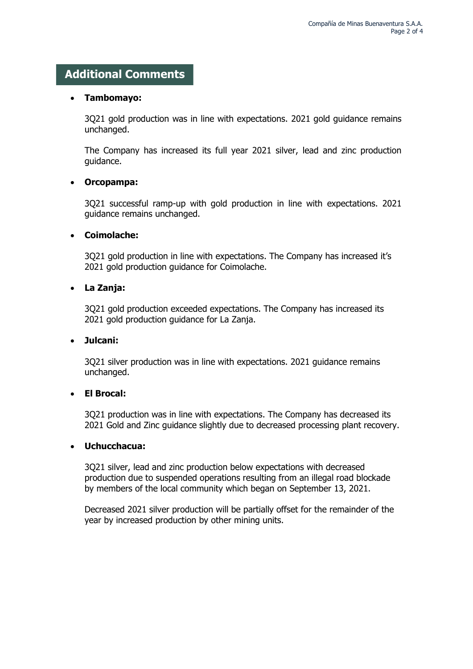## **Additional Comments**

#### **Tambomayo:**

3Q21 gold production was in line with expectations. 2021 gold guidance remains unchanged.

The Company has increased its full year 2021 silver, lead and zinc production guidance.

#### **Orcopampa:**

3Q21 successful ramp-up with gold production in line with expectations. 2021 guidance remains unchanged.

#### **Coimolache:**

3Q21 gold production in line with expectations. The Company has increased it's 2021 gold production guidance for Coimolache.

### **La Zanja:**

3Q21 gold production exceeded expectations. The Company has increased its 2021 gold production guidance for La Zanja.

#### **Julcani:**

3Q21 silver production was in line with expectations. 2021 guidance remains unchanged.

### **El Brocal:**

3Q21 production was in line with expectations. The Company has decreased its 2021 Gold and Zinc guidance slightly due to decreased processing plant recovery.

#### **Uchucchacua:**

3Q21 silver, lead and zinc production below expectations with decreased production due to suspended operations resulting from an illegal road blockade by members of the local community which began on September 13, 2021.

Decreased 2021 silver production will be partially offset for the remainder of the year by increased production by other mining units.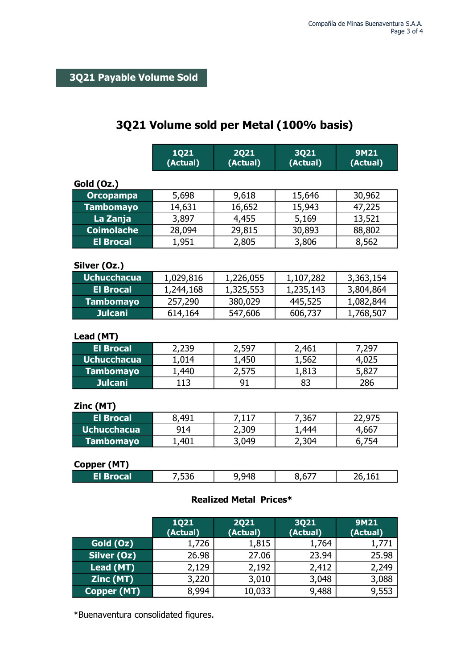# **3Q21 Volume sold per Metal (100% basis)**

|                    | <b>1Q21</b><br>(Actual) | <b>2Q21</b><br>(Actual)       | 3Q21<br>(Actual)        | <b>9M21</b><br>(Actual) |
|--------------------|-------------------------|-------------------------------|-------------------------|-------------------------|
| Gold (Oz.)         |                         |                               |                         |                         |
| <b>Orcopampa</b>   | 5,698                   | 9,618                         | 15,646                  | 30,962                  |
| <b>Tambomayo</b>   | 14,631                  | 16,652                        | 15,943                  | 47,225                  |
| La Zanja           | 3,897                   | 4,455                         | 5,169                   | 13,521                  |
| <b>Coimolache</b>  | 28,094                  | 29,815                        | 30,893                  | 88,802                  |
| <b>El Brocal</b>   | 1,951                   | 2,805                         | 3,806                   | 8,562                   |
| Silver (Oz.)       |                         |                               |                         |                         |
| <b>Uchucchacua</b> | 1,029,816               | 1,226,055                     | 1,107,282               | 3,363,154               |
| <b>El Brocal</b>   | 1,244,168               | 1,325,553                     | 1,235,143               | 3,804,864               |
| <b>Tambomayo</b>   | 257,290                 | 380,029                       | 445,525                 | 1,082,844               |
| <b>Julcani</b>     | 614,164                 | 547,606                       | 606,737                 | 1,768,507               |
| Lead (MT)          |                         |                               |                         |                         |
| <b>El Brocal</b>   | 2,239                   | 2,597                         | 2,461                   | 7,297                   |
| <b>Uchucchacua</b> | 1,014                   | 1,450                         | 1,562                   | 4,025                   |
| <b>Tambomayo</b>   | 1,440                   | 2,575                         | 1,813                   | 5,827                   |
| <b>Julcani</b>     | 113                     | 91                            | 83                      | 286                     |
| Zinc (MT)          |                         |                               |                         |                         |
| <b>El Brocal</b>   | 8,491                   | 7,117                         | 7,367                   | 22,975                  |
| <b>Uchucchacua</b> | 914                     | 2,309                         | 1,444                   | 4,667                   |
| <b>Tambomayo</b>   | 1,401                   | 3,049                         | 2,304                   | 6,754                   |
| Copper (MT)        |                         |                               |                         |                         |
| <b>El Brocal</b>   | 7,536                   | 9,948                         | 8,677                   | 26,161                  |
|                    |                         | <b>Realized Metal Prices*</b> |                         |                         |
|                    | <b>1Q21</b><br>(Actual) | <b>2Q21</b><br>(Actual)       | <b>3Q21</b><br>(Actual) | <b>9M21</b><br>(Actual) |
| $CQ   A Q   CQ$    | 1.726                   | 1.815                         | 1 764                   | 1 771                   |

|             | (Actual) | (Actual) | (Actual) | (Actual) |
|-------------|----------|----------|----------|----------|
| Gold (Oz)   | 1,726    | 1,815    | 1,764    | 1,771    |
| Silver (Oz) | 26.98    | 27.06    | 23.94    | 25.98    |
| Lead (MT)   | 2,129    | 2,192    | 2,412    | 2,249    |
| Zinc (MT)   | 3,220    | 3,010    | 3,048    | 3,088    |
| Copper (MT) | 8,994    | 10,033   | 9,488    | 9,553    |

\*Buenaventura consolidated figures.